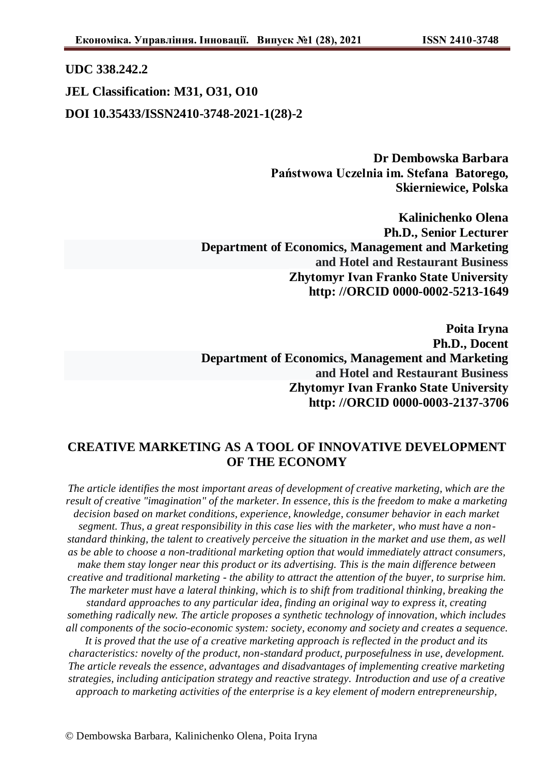## **UDC 338.242.2**

**JEL Classification: M31, O31, O10 DOI 10.35433/ISSN2410-3748-2021-1(28)-2**

> **Dr Dembowska Barbara Państwowa Uczelnia im. Stefana Batorego, Skierniewice, Polska**

**Kalinichenko Olena Ph.D., Senior Lecturer Department of Economics, Management and Marketing and Hotel and Restaurant Business Zhytomyr Ivan Franko State University http: //ORCID 0000-0002-5213-1649**

**Poita Iryna Ph.D., Docent Department of Economics, Management and Marketing and Hotel and Restaurant Business Zhytomyr Ivan Franko State University http: //ORCID 0000-0003-2137-3706**

## **CREATIVE MARKETING AS A TOOL OF INNOVATIVE DEVELOPMENT OF THE ECONOMY**

*The article identifies the most important areas of development of creative marketing, which are the result of creative "imagination" of the marketer. In essence, this is the freedom to make a marketing decision based on market conditions, experience, knowledge, consumer behavior in each market segment. Thus, a great responsibility in this case lies with the marketer, who must have a nonstandard thinking, the talent to creatively perceive the situation in the market and use them, as well as be able to choose a non-traditional marketing option that would immediately attract consumers, make them stay longer near this product or its advertising. This is the main difference between creative and traditional marketing - the ability to attract the attention of the buyer, to surprise him. The marketer must have a lateral thinking, which is to shift from traditional thinking, breaking the standard approaches to any particular idea, finding an original way to express it, creating something radically new. The article proposes a synthetic technology of innovation, which includes all components of the socio-economic system: society, economy and society and creates a sequence. It is proved that the use of a creative marketing approach is reflected in the product and its characteristics: novelty of the product, non-standard product, purposefulness in use, development. The article reveals the essence, advantages and disadvantages of implementing creative marketing* 

*strategies, including anticipation strategy and reactive strategy. Introduction and use of a creative approach to marketing activities of the enterprise is a key element of modern entrepreneurship,*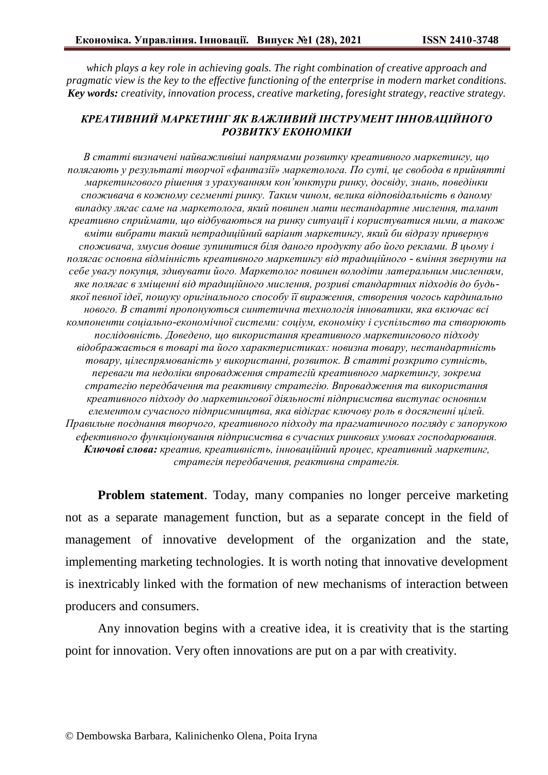*which plays a key role in achieving goals. The right combination of creative approach and pragmatic view is the key to the effective functioning of the enterprise in modern market conditions. Key words: creativity, innovation process, creative marketing, foresight strategy, reactive strategy.*

## *КРЕАТИВНИЙ МАРКЕТИНГ ЯК ВАЖЛИВИЙ ІНСТРУМЕНТ ІННОВАЦІЙНОГО РОЗВИТКУ ЕКОНОМІКИ*

*В статті визначені найважливіші напрямами розвитку креативного маркетингу, що полягають у результаті творчої «фантазії» маркетолога. По суті, це свобода в прийнятті маркетингового рішення з урахуванням кон'юнктури ринку, досвіду, знань, поведінки споживача в кожному сегменті ринку. Таким чином, велика відповідальність в даному випадку лягає саме на маркетолога, який повинен мати нестандартне мислення, талант креативно сприймати, що відбуваються на ринку ситуації і користуватися ними, а також вміти вибрати такий нетрадиційний варіант маркетингу, який би відразу привернув споживача, змусив довше зупинитися біля даного продукту або його реклами. В цьому і полягає основна відмінність креативного маркетингу від традиційного - вміння звернути на себе увагу покупця, здивувати його. Маркетолог повинен володіти латеральним мисленням, яке полягає в зміщенні від традиційного мислення, розриві стандартних підходів до будьякої певної ідеї, пошуку оригінального способу її вираження, створення чогось кардинально нового. В статті пропонуються синтетична технологія інноватики, яка включає всі компоненти соціально-економічної системи: соціум, економіку і суспільство та створюють послідовність. Доведено, що використання креативного маркетингового підходу відображається в товарі та його характеристиках: новизна товару, нестандартність товару, цілеспрямованість у використанні, розвиток. В статті розкрито сутність, переваги та недоліки впровадження стратегій креативного маркетингу, зокрема стратегію передбачення та реактивну стратегію. Впровадження та використання креативного підходу до маркетингової діяльності підприємства виступає основним елементом сучасного підприємництва, яка відіграє ключову роль в досягненні цілей. Правильне поєднання творчого, креативного підходу та прагматичного погляду є запорукою ефективного функціонування підприємства в сучасних ринкових умовах господарювання. Ключові слова: креатив, креативність, інноваційний процес, креативний маркетинг, стратегія передбачення, реактивна стратегія.*

**Problem statement**. Today, many companies no longer perceive marketing not as a separate management function, but as a separate concept in the field of management of innovative development of the organization and the state, implementing marketing technologies. It is worth noting that innovative development is inextricably linked with the formation of new mechanisms of interaction between producers and consumers.

Any innovation begins with a creative idea, it is creativity that is the starting point for innovation. Very often innovations are put on a par with creativity.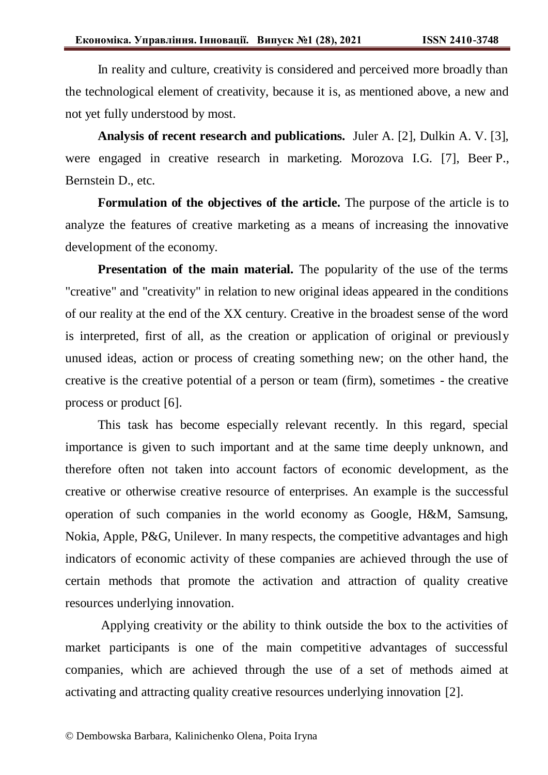In reality and culture, creativity is considered and perceived more broadly than the technological element of creativity, because it is, as mentioned above, a new and not yet fully understood by most.

**Analysis of recent research and publications.** Juler A. [2], Dulkin A. V. [3], were engaged in creative research in marketing. Morozova I.G. [7], Beer P., Bernstein D., etc.

**Formulation of the objectives of the article.** The purpose of the article is to analyze the features of creative marketing as a means of increasing the innovative development of the economy.

**Presentation of the main material.** The popularity of the use of the terms "creative" and "creativity" in relation to new original ideas appeared in the conditions of our reality at the end of the XX century. Creative in the broadest sense of the word is interpreted, first of all, as the creation or application of original or previously unused ideas, action or process of creating something new; on the other hand, the creative is the creative potential of a person or team (firm), sometimes - the creative process or product [6].

This task has become especially relevant recently. In this regard, special importance is given to such important and at the same time deeply unknown, and therefore often not taken into account factors of economic development, as the creative or otherwise creative resource of enterprises. An example is the successful operation of such companies in the world economy as Google, H&M, Samsung, Nokia, Apple, P&G, Unilever. In many respects, the competitive advantages and high indicators of economic activity of these companies are achieved through the use of certain methods that promote the activation and attraction of quality creative resources underlying innovation.

Applying creativity or the ability to think outside the box to the activities of market participants is one of the main competitive advantages of successful companies, which are achieved through the use of a set of methods aimed at activating and attracting quality creative resources underlying innovation [2].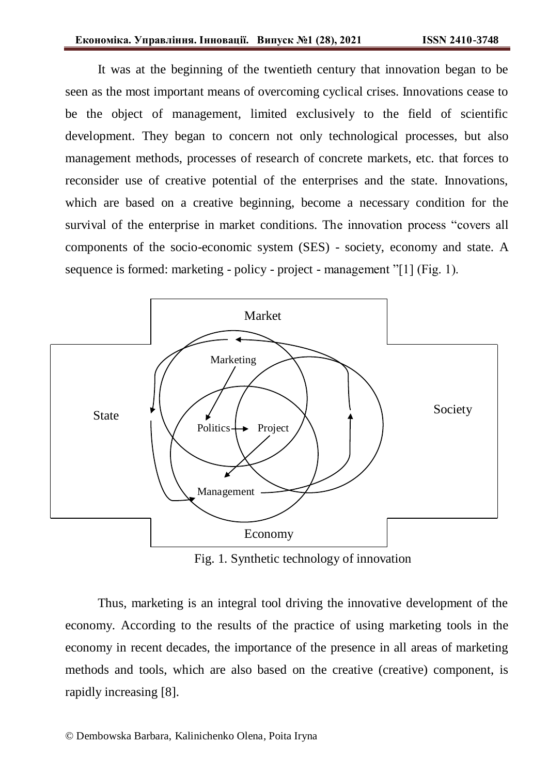It was at the beginning of the twentieth century that innovation began to be seen as the most important means of overcoming cyclical crises. Innovations cease to be the object of management, limited exclusively to the field of scientific development. They began to concern not only technological processes, but also management methods, processes of research of concrete markets, etc. that forces to reconsider use of creative potential of the enterprises and the state. Innovations, which are based on a creative beginning, become a necessary condition for the survival of the enterprise in market conditions. The innovation process "covers all components of the socio-economic system (SES) - society, economy and state. A sequence is formed: marketing - policy - project - management "[1] (Fig. 1).



Fig. 1. Synthetic technology of innovation

Thus, marketing is an integral tool driving the innovative development of the economy. According to the results of the practice of using marketing tools in the economy in recent decades, the importance of the presence in all areas of marketing methods and tools, which are also based on the creative (creative) component, is rapidly increasing [8].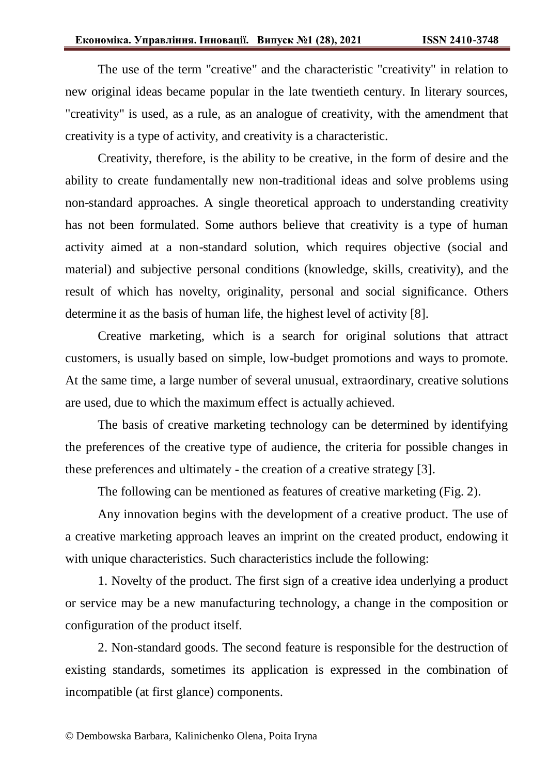The use of the term "creative" and the characteristic "creativity" in relation to new original ideas became popular in the late twentieth century. In literary sources, "creativity" is used, as a rule, as an analogue of creativity, with the amendment that creativity is a type of activity, and creativity is a characteristic.

Creativity, therefore, is the ability to be creative, in the form of desire and the ability to create fundamentally new non-traditional ideas and solve problems using non-standard approaches. A single theoretical approach to understanding creativity has not been formulated. Some authors believe that creativity is a type of human activity aimed at a non-standard solution, which requires objective (social and material) and subjective personal conditions (knowledge, skills, creativity), and the result of which has novelty, originality, personal and social significance. Others determine it as the basis of human life, the highest level of activity [8].

Creative marketing, which is a search for original solutions that attract customers, is usually based on simple, low-budget promotions and ways to promote. At the same time, a large number of several unusual, extraordinary, creative solutions are used, due to which the maximum effect is actually achieved.

The basis of creative marketing technology can be determined by identifying the preferences of the creative type of audience, the criteria for possible changes in these preferences and ultimately - the creation of a creative strategy [3].

The following can be mentioned as features of creative marketing (Fig. 2).

Any innovation begins with the development of a creative product. The use of a creative marketing approach leaves an imprint on the created product, endowing it with unique characteristics. Such characteristics include the following:

1. Novelty of the product. The first sign of a creative idea underlying a product or service may be a new manufacturing technology, a change in the composition or configuration of the product itself.

2. Non-standard goods. The second feature is responsible for the destruction of existing standards, sometimes its application is expressed in the combination of incompatible (at first glance) components.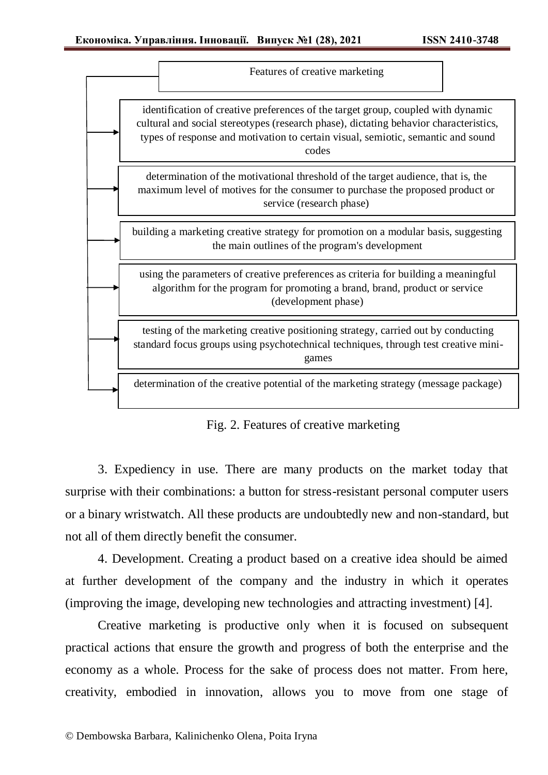|                                                                                                                                                                                               | Features of creative marketing                                                                                                                                                                                                                                         |  |  |
|-----------------------------------------------------------------------------------------------------------------------------------------------------------------------------------------------|------------------------------------------------------------------------------------------------------------------------------------------------------------------------------------------------------------------------------------------------------------------------|--|--|
|                                                                                                                                                                                               | identification of creative preferences of the target group, coupled with dynamic<br>cultural and social stereotypes (research phase), dictating behavior characteristics,<br>types of response and motivation to certain visual, semiotic, semantic and sound<br>codes |  |  |
| determination of the motivational threshold of the target audience, that is, the<br>maximum level of motives for the consumer to purchase the proposed product or<br>service (research phase) |                                                                                                                                                                                                                                                                        |  |  |
| building a marketing creative strategy for promotion on a modular basis, suggesting<br>the main outlines of the program's development                                                         |                                                                                                                                                                                                                                                                        |  |  |
| using the parameters of creative preferences as criteria for building a meaningful<br>algorithm for the program for promoting a brand, brand, product or service<br>(development phase)       |                                                                                                                                                                                                                                                                        |  |  |
| testing of the marketing creative positioning strategy, carried out by conducting<br>standard focus groups using psychotechnical techniques, through test creative mini-<br>games             |                                                                                                                                                                                                                                                                        |  |  |
|                                                                                                                                                                                               | determination of the creative potential of the marketing strategy (message package)                                                                                                                                                                                    |  |  |

Fig. 2. Features of creative marketing

3. Expediency in use. There are many products on the market today that surprise with their combinations: a button for stress-resistant personal computer users or a binary wristwatch. All these products are undoubtedly new and non-standard, but not all of them directly benefit the consumer.

4. Development. Creating a product based on a creative idea should be aimed at further development of the company and the industry in which it operates (improving the image, developing new technologies and attracting investment) [4].

Creative marketing is productive only when it is focused on subsequent practical actions that ensure the growth and progress of both the enterprise and the economy as a whole. Process for the sake of process does not matter. From here, creativity, embodied in innovation, allows you to move from one stage of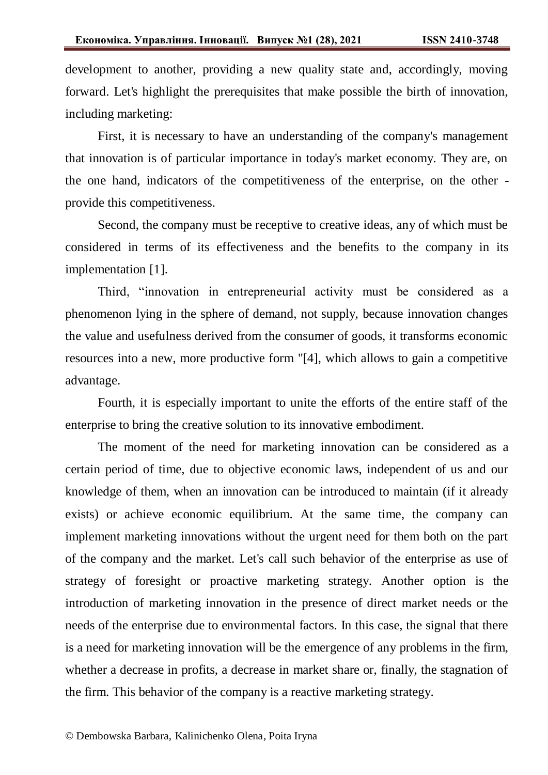development to another, providing a new quality state and, accordingly, moving forward. Let's highlight the prerequisites that make possible the birth of innovation, including marketing:

First, it is necessary to have an understanding of the company's management that innovation is of particular importance in today's market economy. They are, on the one hand, indicators of the competitiveness of the enterprise, on the other provide this competitiveness.

Second, the company must be receptive to creative ideas, any of which must be considered in terms of its effectiveness and the benefits to the company in its implementation [1].

Third, "innovation in entrepreneurial activity must be considered as a phenomenon lying in the sphere of demand, not supply, because innovation changes the value and usefulness derived from the consumer of goods, it transforms economic resources into a new, more productive form "[4], which allows to gain a competitive advantage.

Fourth, it is especially important to unite the efforts of the entire staff of the enterprise to bring the creative solution to its innovative embodiment.

The moment of the need for marketing innovation can be considered as a certain period of time, due to objective economic laws, independent of us and our knowledge of them, when an innovation can be introduced to maintain (if it already exists) or achieve economic equilibrium. At the same time, the company can implement marketing innovations without the urgent need for them both on the part of the company and the market. Let's call such behavior of the enterprise as use of strategy of foresight or proactive marketing strategy. Another option is the introduction of marketing innovation in the presence of direct market needs or the needs of the enterprise due to environmental factors. In this case, the signal that there is a need for marketing innovation will be the emergence of any problems in the firm, whether a decrease in profits, a decrease in market share or, finally, the stagnation of the firm. This behavior of the company is a reactive marketing strategy.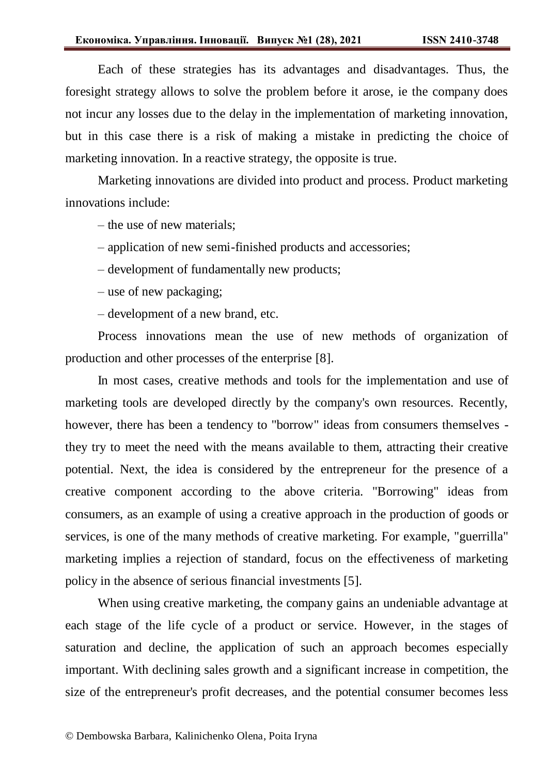Each of these strategies has its advantages and disadvantages. Thus, the foresight strategy allows to solve the problem before it arose, ie the company does not incur any losses due to the delay in the implementation of marketing innovation, but in this case there is a risk of making a mistake in predicting the choice of marketing innovation. In a reactive strategy, the opposite is true.

Marketing innovations are divided into product and process. Product marketing innovations include:

– the use of new materials;

‒ application of new semi-finished products and accessories;

‒ development of fundamentally new products;

– use of new packaging;

‒ development of a new brand, etc.

Process innovations mean the use of new methods of organization of production and other processes of the enterprise [8].

In most cases, creative methods and tools for the implementation and use of marketing tools are developed directly by the company's own resources. Recently, however, there has been a tendency to "borrow" ideas from consumers themselves they try to meet the need with the means available to them, attracting their creative potential. Next, the idea is considered by the entrepreneur for the presence of a creative component according to the above criteria. "Borrowing" ideas from consumers, as an example of using a creative approach in the production of goods or services, is one of the many methods of creative marketing. For example, "guerrilla" marketing implies a rejection of standard, focus on the effectiveness of marketing policy in the absence of serious financial investments [5].

When using creative marketing, the company gains an undeniable advantage at each stage of the life cycle of a product or service. However, in the stages of saturation and decline, the application of such an approach becomes especially important. With declining sales growth and a significant increase in competition, the size of the entrepreneur's profit decreases, and the potential consumer becomes less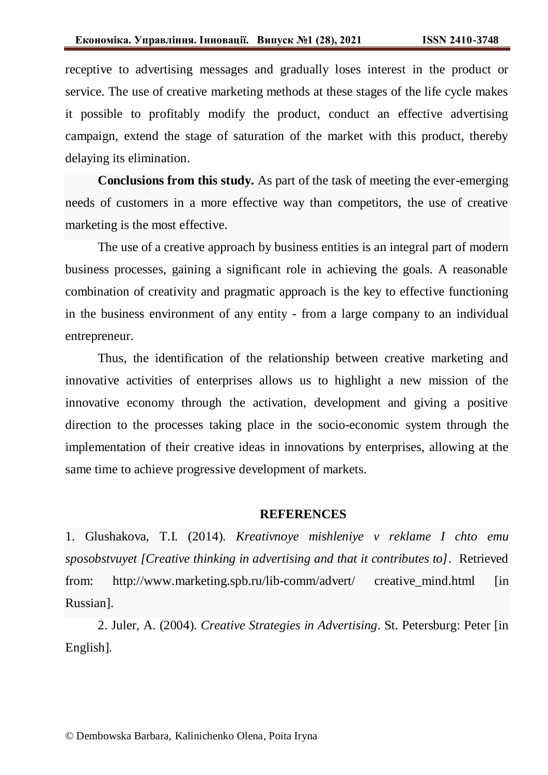receptive to advertising messages and gradually loses interest in the product or service. The use of creative marketing methods at these stages of the life cycle makes it possible to profitably modify the product, conduct an effective advertising campaign, extend the stage of saturation of the market with this product, thereby delaying its elimination.

**Conclusions from this study.** As part of the task of meeting the ever-emerging needs of customers in a more effective way than competitors, the use of creative marketing is the most effective.

The use of a creative approach by business entities is an integral part of modern business processes, gaining a significant role in achieving the goals. A reasonable combination of creativity and pragmatic approach is the key to effective functioning in the business environment of any entity - from a large company to an individual entrepreneur.

Thus, the identification of the relationship between creative marketing and innovative activities of enterprises allows us to highlight a new mission of the innovative economy through the activation, development and giving a positive direction to the processes taking place in the socio-economic system through the implementation of their creative ideas in innovations by enterprises, allowing at the same time to achieve progressive development of markets.

## **REFERENCES**

1. Glushakova, T.I. (2014). *Kreativnoye mishleniye v reklame I chto emu sposobstvuyet [Creative thinking in advertising and that it contributes to]*. Retrieved from: http://www.marketing.spb.ru/lib-comm/advert/ creative mind.html [in] Russian].

2. Juler, A. (2004). *Creative Strategies in Advertising*. St. Petersburg: Peter [in English].